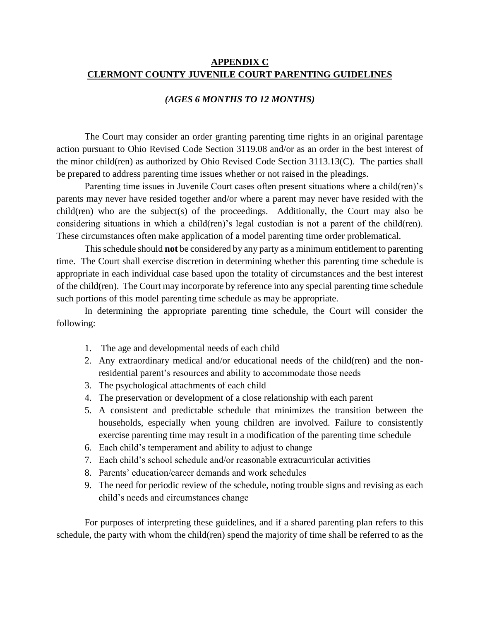## **APPENDIX C CLERMONT COUNTY JUVENILE COURT PARENTING GUIDELINES**

#### *(AGES 6 MONTHS TO 12 MONTHS)*

The Court may consider an order granting parenting time rights in an original parentage action pursuant to Ohio Revised Code Section 3119.08 and/or as an order in the best interest of the minor child(ren) as authorized by Ohio Revised Code Section 3113.13(C). The parties shall be prepared to address parenting time issues whether or not raised in the pleadings.

Parenting time issues in Juvenile Court cases often present situations where a child(ren)'s parents may never have resided together and/or where a parent may never have resided with the child(ren) who are the subject(s) of the proceedings. Additionally, the Court may also be considering situations in which a child(ren)'s legal custodian is not a parent of the child(ren). These circumstances often make application of a model parenting time order problematical.

This schedule should **not** be considered by any party as a minimum entitlement to parenting time. The Court shall exercise discretion in determining whether this parenting time schedule is appropriate in each individual case based upon the totality of circumstances and the best interest of the child(ren). The Court may incorporate by reference into any special parenting time schedule such portions of this model parenting time schedule as may be appropriate.

In determining the appropriate parenting time schedule, the Court will consider the following:

- 1. The age and developmental needs of each child
- 2. Any extraordinary medical and/or educational needs of the child(ren) and the nonresidential parent's resources and ability to accommodate those needs
- 3. The psychological attachments of each child
- 4. The preservation or development of a close relationship with each parent
- 5. A consistent and predictable schedule that minimizes the transition between the households, especially when young children are involved. Failure to consistently exercise parenting time may result in a modification of the parenting time schedule
- 6. Each child's temperament and ability to adjust to change
- 7. Each child's school schedule and/or reasonable extracurricular activities
- 8. Parents' education/career demands and work schedules
- 9. The need for periodic review of the schedule, noting trouble signs and revising as each child's needs and circumstances change

For purposes of interpreting these guidelines, and if a shared parenting plan refers to this schedule, the party with whom the child(ren) spend the majority of time shall be referred to as the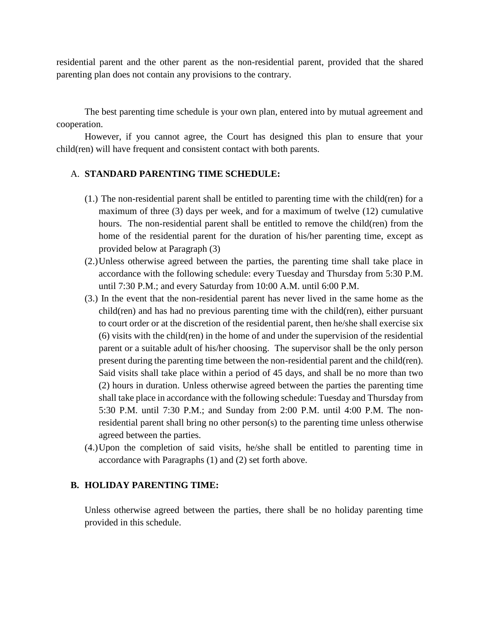residential parent and the other parent as the non-residential parent, provided that the shared parenting plan does not contain any provisions to the contrary.

The best parenting time schedule is your own plan, entered into by mutual agreement and cooperation.

However, if you cannot agree, the Court has designed this plan to ensure that your child(ren) will have frequent and consistent contact with both parents.

### A. **STANDARD PARENTING TIME SCHEDULE:**

- (1.) The non-residential parent shall be entitled to parenting time with the child(ren) for a maximum of three (3) days per week, and for a maximum of twelve (12) cumulative hours. The non-residential parent shall be entitled to remove the child(ren) from the home of the residential parent for the duration of his/her parenting time, except as provided below at Paragraph (3)
- (2.)Unless otherwise agreed between the parties, the parenting time shall take place in accordance with the following schedule: every Tuesday and Thursday from 5:30 P.M. until 7:30 P.M.; and every Saturday from 10:00 A.M. until 6:00 P.M.
- (3.) In the event that the non-residential parent has never lived in the same home as the child(ren) and has had no previous parenting time with the child(ren), either pursuant to court order or at the discretion of the residential parent, then he/she shall exercise six (6) visits with the child(ren) in the home of and under the supervision of the residential parent or a suitable adult of his/her choosing. The supervisor shall be the only person present during the parenting time between the non-residential parent and the child(ren). Said visits shall take place within a period of 45 days, and shall be no more than two (2) hours in duration. Unless otherwise agreed between the parties the parenting time shall take place in accordance with the following schedule: Tuesday and Thursday from 5:30 P.M. until 7:30 P.M.; and Sunday from 2:00 P.M. until 4:00 P.M. The nonresidential parent shall bring no other person(s) to the parenting time unless otherwise agreed between the parties.
- (4.)Upon the completion of said visits, he/she shall be entitled to parenting time in accordance with Paragraphs (1) and (2) set forth above.

#### **B. HOLIDAY PARENTING TIME:**

Unless otherwise agreed between the parties, there shall be no holiday parenting time provided in this schedule.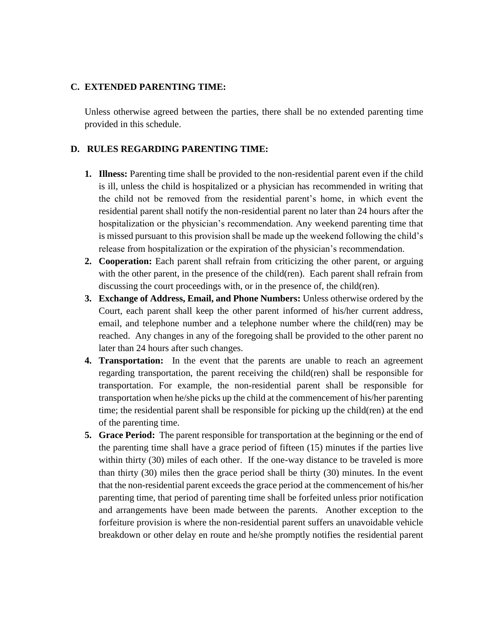## **C. EXTENDED PARENTING TIME:**

Unless otherwise agreed between the parties, there shall be no extended parenting time provided in this schedule.

# **D. RULES REGARDING PARENTING TIME:**

- **1. Illness:** Parenting time shall be provided to the non-residential parent even if the child is ill, unless the child is hospitalized or a physician has recommended in writing that the child not be removed from the residential parent's home, in which event the residential parent shall notify the non-residential parent no later than 24 hours after the hospitalization or the physician's recommendation. Any weekend parenting time that is missed pursuant to this provision shall be made up the weekend following the child's release from hospitalization or the expiration of the physician's recommendation.
- **2. Cooperation:** Each parent shall refrain from criticizing the other parent, or arguing with the other parent, in the presence of the child(ren). Each parent shall refrain from discussing the court proceedings with, or in the presence of, the child(ren).
- **3. Exchange of Address, Email, and Phone Numbers:** Unless otherwise ordered by the Court, each parent shall keep the other parent informed of his/her current address, email, and telephone number and a telephone number where the child(ren) may be reached. Any changes in any of the foregoing shall be provided to the other parent no later than 24 hours after such changes.
- **4. Transportation:** In the event that the parents are unable to reach an agreement regarding transportation, the parent receiving the child(ren) shall be responsible for transportation. For example, the non-residential parent shall be responsible for transportation when he/she picks up the child at the commencement of his/her parenting time; the residential parent shall be responsible for picking up the child(ren) at the end of the parenting time.
- **5. Grace Period:** The parent responsible for transportation at the beginning or the end of the parenting time shall have a grace period of fifteen (15) minutes if the parties live within thirty (30) miles of each other. If the one-way distance to be traveled is more than thirty (30) miles then the grace period shall be thirty (30) minutes. In the event that the non-residential parent exceeds the grace period at the commencement of his/her parenting time, that period of parenting time shall be forfeited unless prior notification and arrangements have been made between the parents. Another exception to the forfeiture provision is where the non-residential parent suffers an unavoidable vehicle breakdown or other delay en route and he/she promptly notifies the residential parent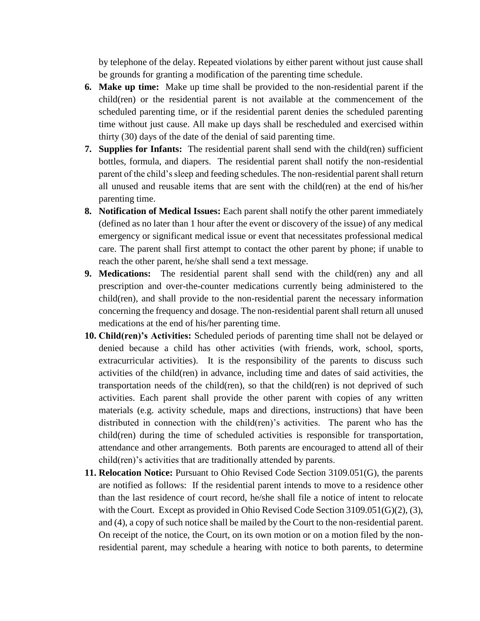by telephone of the delay. Repeated violations by either parent without just cause shall be grounds for granting a modification of the parenting time schedule.

- **6. Make up time:** Make up time shall be provided to the non-residential parent if the child(ren) or the residential parent is not available at the commencement of the scheduled parenting time, or if the residential parent denies the scheduled parenting time without just cause. All make up days shall be rescheduled and exercised within thirty (30) days of the date of the denial of said parenting time.
- **7. Supplies for Infants:** The residential parent shall send with the child(ren) sufficient bottles, formula, and diapers. The residential parent shall notify the non-residential parent of the child's sleep and feeding schedules. The non-residential parent shall return all unused and reusable items that are sent with the child(ren) at the end of his/her parenting time.
- **8. Notification of Medical Issues:** Each parent shall notify the other parent immediately (defined as no later than 1 hour after the event or discovery of the issue) of any medical emergency or significant medical issue or event that necessitates professional medical care. The parent shall first attempt to contact the other parent by phone; if unable to reach the other parent, he/she shall send a text message.
- **9. Medications:** The residential parent shall send with the child(ren) any and all prescription and over-the-counter medications currently being administered to the child(ren), and shall provide to the non-residential parent the necessary information concerning the frequency and dosage. The non-residential parent shall return all unused medications at the end of his/her parenting time.
- **10. Child(ren)'s Activities:** Scheduled periods of parenting time shall not be delayed or denied because a child has other activities (with friends, work, school, sports, extracurricular activities). It is the responsibility of the parents to discuss such activities of the child(ren) in advance, including time and dates of said activities, the transportation needs of the child(ren), so that the child(ren) is not deprived of such activities. Each parent shall provide the other parent with copies of any written materials (e.g. activity schedule, maps and directions, instructions) that have been distributed in connection with the child(ren)'s activities. The parent who has the child(ren) during the time of scheduled activities is responsible for transportation, attendance and other arrangements. Both parents are encouraged to attend all of their child(ren)'s activities that are traditionally attended by parents.
- **11. Relocation Notice:** Pursuant to Ohio Revised Code Section 3109.051(G), the parents are notified as follows: If the residential parent intends to move to a residence other than the last residence of court record, he/she shall file a notice of intent to relocate with the Court. Except as provided in Ohio Revised Code Section 3109.051(G)(2), (3), and (4), a copy of such notice shall be mailed by the Court to the non-residential parent. On receipt of the notice, the Court, on its own motion or on a motion filed by the nonresidential parent, may schedule a hearing with notice to both parents, to determine